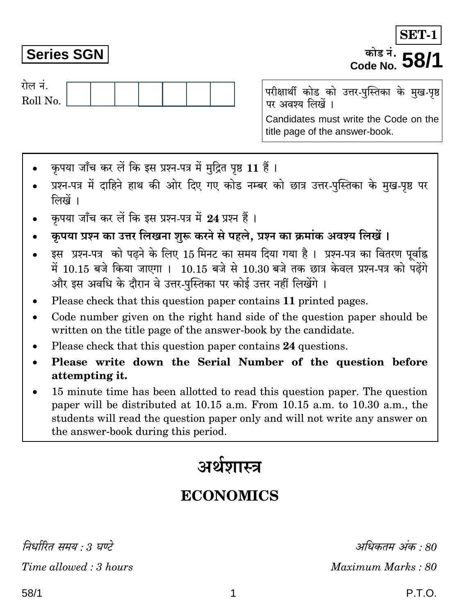निर्धारित समय : 3 घण्टे Time allowed: 3 hours

# **Series SGN**

रोल नं.

Roll No.

परीक्षार्थी कोड को उत्तर-पुस्तिका के मुख-पृष्ठ पर अवश्य लिखें । Candidates must write the Code on the title page of the answer-book.

Code No.

- कपया जाँच कर लें कि इस प्रश्न-पत्र में मुद्रित पृष्ठ 11 हैं।
- प्रश्न-पत्र में दाहिने हाथ की ओर दिए गए कोड नम्बर को छात्र उत्तर-पुस्तिका के मुख-पृष्ठ पर लिखें ।
- कपया जाँच कर लें कि इस प्रश्न-पत्र में 24 प्रश्न हैं।
- कृपया प्रश्न का उत्तर लिखना शुरू करने से पहले, प्रश्न का क्रमांक अवश्य लिखें ।
- इस प्रश्न-पत्र को पढ़ने के लिए 15 मिनट का समय दिया गया है। प्रश्न-पत्र का वितरण पर्वाह्न में 10.15 बजे किया जाएगा । 10.15 बजे से 10.30 बजे तक छात्र केवल प्रश्न-पत्र को पढ़ेंगे और इस अवधि के दौरान वे उत्तर-पस्तिका पर कोई उत्तर नहीं लिखेंगे ।
- Please check that this question paper contains 11 printed pages.
- Code number given on the right hand side of the question paper should be  $\bullet$ written on the title page of the answer-book by the candidate.
- Please check that this question paper contains 24 questions.
- Please write down the Serial Number of the question before attempting it.
- 15 minute time has been allotted to read this question paper. The question paper will be distributed at 10.15 a.m. From 10.15 a.m. to 10.30 a.m., the students will read the question paper only and will not write any answer on the answer-book during this period.

# अर्थशास्त्र

# **ECONOMICS**

अधिकतम अंक : 80 Maximum Marks: 80

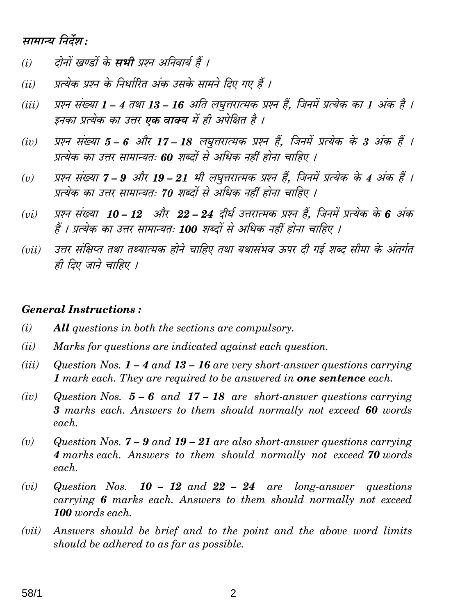# सामान्य निर्देश:

- दोनों खण्डों के **सभी** प्रश्न अनिवार्य हैं ।  $(i)$
- प्रत्येक प्रश्न के निर्धारित अंक उसके सामने दिए गए हैं ।  $(ii)$
- प्रश्न संख्या 1 4 तथा 13 16 अति लघृत्तरात्मक प्रश्न हैं. जिनमें प्रत्येक का 1 अंक है ।  $(iii)$ इनका प्रत्येक का उत्तर **एक वाक्य** में ही अपेक्षित है ।
- प्रश्न संख्या 5 6 और 17 18 लघुत्तरात्मक प्रश्न हैं, जिनमें प्रत्येक के 3 अंक हैं ।  $(iv)$ प्रत्येक का उत्तर सामान्यतः 60 शब्दों से अधिक नहीं होना चाहिए ।
- प्रश्न संख्या 7 9 और 19 21 भी लघुत्तरात्मक प्रश्न हैं, जिनमें प्रत्येक के 4 अंक हैं ।  $(v)$ प्रत्येक का उत्तर सामान्यतः 70 शब्दों से अधिक नहीं होना चाहिए ।
- प्रश्न संख्या 10 12 और 22 24 दीर्घ उत्तरात्मक प्रश्न हैं. जिनमें प्रत्येक के 6 अंक  $(vi)$ हैं । प्रत्येक का उत्तर सामान्यतः 100 शब्दों से अधिक नहीं होना चाहिए ।
- उत्तर संक्षिप्त तथा तथ्यात्मक होने चाहिए तथा यथासंभव ऊपर दी गई शब्द सीमा के अंतर्गत  $(iii)$ ही दिए जाने चाहिए ।

## **General Instructions:**

- $(i)$ **All** questions in both the sections are compulsory.
- $(ii)$ Marks for questions are indicated against each question.
- $(iii)$ Question Nos.  $1 - 4$  and  $13 - 16$  are very short-answer questions carrying 1 mark each. They are required to be answered in **one sentence** each.
- $(iv)$ Question Nos.  $5 - 6$  and  $17 - 18$  are short-answer questions carrying 3 marks each. Answers to them should normally not exceed 60 words each.
- Question Nos.  $7 9$  and  $19 21$  are also short-answer questions carrying  $(v)$ 4 marks each. Answers to them should normally not exceed 70 words each.
- $(vi)$ Question Nos.  $10 - 12$  and  $22 - 24$  are long-answer questions carrying 6 marks each. Answers to them should normally not exceed 100 words each.
- Answers should be brief and to the point and the above word limits  $(vii)$ should be adhered to as far as possible.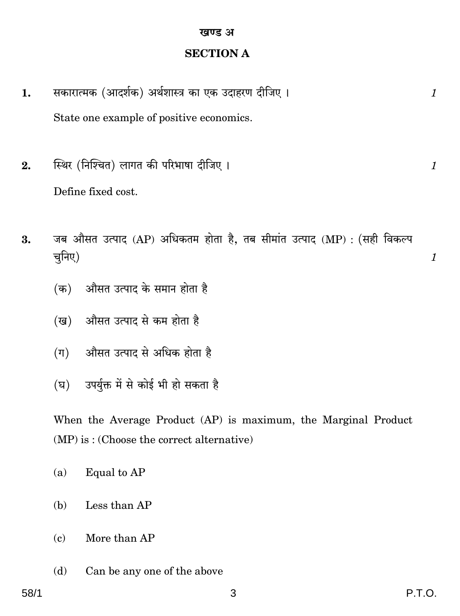# **SECTION A**

- सकारात्मक (आदर्शक) अर्थशास्त्र का एक उदाहरण दीजिए। 1. State one example of positive economics.
- स्थिर (निश्चित) लागत की परिभाषा दीजिए।  $2.$ Define fixed cost.
- जब औसत उत्पाद (AP) अधिकतम होता है, तब सीमांत उत्पाद (MP) : (सही विकल्प 3. चनिए)
	- (क) औसत उत्पाद के समान होता है
	- (ख) औसत उत्पाद से कम होता है
	- औसत उत्पाद से अधिक होता है  $(\pi)$
	- उपर्यक्त में से कोई भी हो सकता है  $(\nabla)$

When the Average Product (AP) is maximum, the Marginal Product  $(MP)$  is: (Choose the correct alternative)

- Equal to AP  $(a)$
- Less than AP (b)
- More than AP  $(c)$
- Can be any one of the above (d)

 $\mathcal{I}_{\mathcal{L}}$ 

 $\mathcal{I}_{\mathcal{L}}$ 

 $\boldsymbol{\mathit{1}}$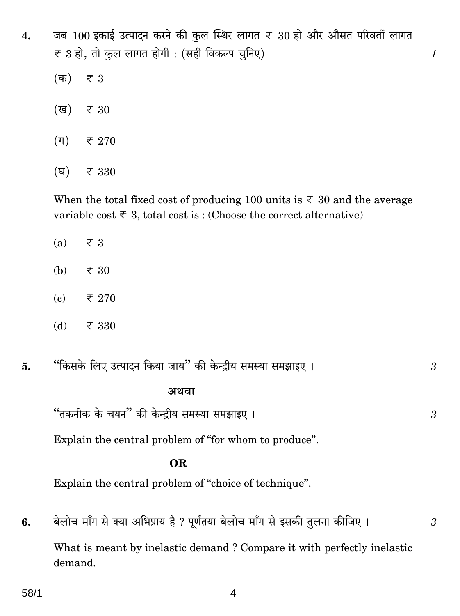जब 100 इकाई उत्पादन करने की कुल स्थिर लागत ₹ 30 हो और औसत परिवर्ती लागत  $\overline{4}$ .  $\overline{\xi}$  3 हो, तो कुल लागत होगी : (सही विकल्प चुनिए)

 $\mathcal{I}_{\mathcal{L}}$ 

3

 $\boldsymbol{\beta}$ 

 $\boldsymbol{\beta}$ 

- $(\overline{a})$  $\overline{\overline{\xi}}$  3 (ख) ₹ 30
- $(\Pi)$ ₹ 270
- $(\overline{u})$ ₹ 330

When the total fixed cost of producing 100 units is  $\overline{\xi}$  30 and the average variable cost  $\overline{\tau}$  3, total cost is: (Choose the correct alternative)

- ₹ 3  $(a)$
- (b) ₹ 30
- $(c)$ ₹ 270
- (d) ₹ 330
- "किसके लिए उत्पादन किया जाय" की केन्द्रीय समस्या समझाइए । 5.

# अथवा

"तकनीक के चयन" की केन्द्रीय समस्या समझाइए।

Explain the central problem of "for whom to produce".

# **OR**

Explain the central problem of "choice of technique".

बेलोच माँग से क्या अभिप्राय है ? पूर्णतया बेलोच माँग से इसकी तुलना कीजिए । 6. What is meant by inelastic demand? Compare it with perfectly inelastic demand.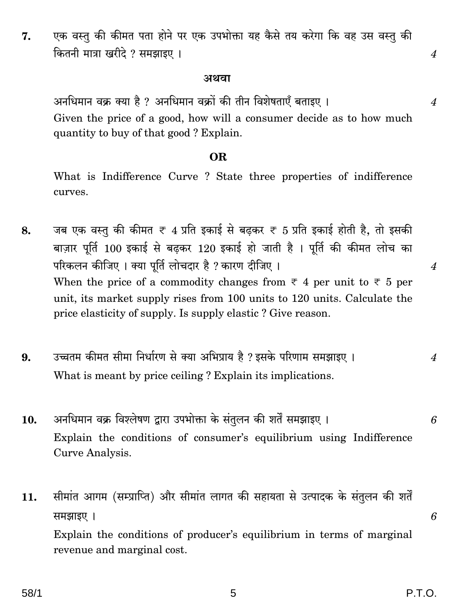एक वस्तु की कीमत पता होने पर एक उपभोक्ता यह कैसे तय करेगा कि वह उस वस्तु की 7. कितनी मात्रा खरीदे ? समझाइए ।

#### अथवा

अनधिमान वक्र क्या है ? अनधिमान वक्रों की तीन विशेषताएँ बताइए । Given the price of a good, how will a consumer decide as to how much quantity to buy of that good? Explain.

## **OR**

What is Indifference Curve? State three properties of indifference curves.

- जब एक वस्तु की कीमत ₹ 4 प्रति इकाई से बढकर ₹ 5 प्रति इकाई होती है, तो इसकी 8. बाज़ार पूर्ति 100 इकाई से बढ़कर 120 इकाई हो जाती है। पूर्ति की कीमत लोच का परिकलन कीजिए । क्या पूर्ति लोचदार है ? कारण दीजिए । When the price of a commodity changes from  $\overline{\tau}$  4 per unit to  $\overline{\tau}$  5 per unit, its market supply rises from 100 units to 120 units. Calculate the price elasticity of supply. Is supply elastic? Give reason.
- उच्चतम कीमत सीमा निर्धारण से क्या अभिप्राय है ? इसके परिणाम समझाइए ।  $9<sub>1</sub>$  $\boldsymbol{4}$ What is meant by price ceiling? Explain its implications.
- अनधिमान वक्र विश्लेषण द्वारा उपभोक्ता के संतुलन की शर्तें समझाइए । 10. Explain the conditions of consumer's equilibrium using Indifference Curve Analysis.
- सीमांत आगम (सम्प्राप्ति) और सीमांत लागत की सहायता से उत्पादक के संतुलन की शर्तें 11. समझाइए ।

Explain the conditions of producer's equilibrium in terms of marginal revenue and marginal cost.

 $\overline{4}$ 

 $\boldsymbol{4}$ 

 $\overline{4}$ 

6

6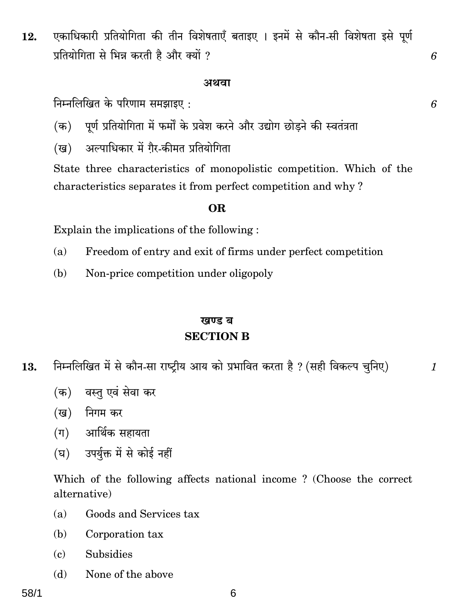एकाधिकारी प्रतियोगिता की तीन विशेषताएँ बताइए । इनमें से कौन-सी विशेषता इसे पूर्ण 12. प्रतियोगिता से भिन्न करती है और क्यों ?

#### अथवा

निम्नलिखित के परिणाम समझाइए :

- पूर्ण प्रतियोगिता में फर्मों के प्रवेश करने और उद्योग छोड़ने की स्वतंत्रता  $(\overline{a})$
- अल्पाधिकार में गैर-कीमत प्रतियोगिता (ख)

State three characteristics of monopolistic competition. Which of the characteristics separates it from perfect competition and why?

#### OR.

Explain the implications of the following:

- Freedom of entry and exit of firms under perfect competition  $(a)$
- (b) Non-price competition under oligopoly

# खण्ड ब **SECTION B**

- निम्नलिखित में से कौन-सा राष्ट्रीय आय को प्रभावित करता है ? (सही विकल्प चुनिए) 13.
	- वस्त एवं सेवा कर (क)
	- (ख) निगम कर
	- $($ ग) आर्थिक सहायता
	- (घ) उपर्युक्त में से कोई नहीं

Which of the following affects national income? (Choose the correct alternative)

- Goods and Services tax  $(a)$
- Corporation tax (b)
- **Subsidies**  $(c)$
- None of the above  $(h)$

58/1

6

6

6

 $\mathcal{I}$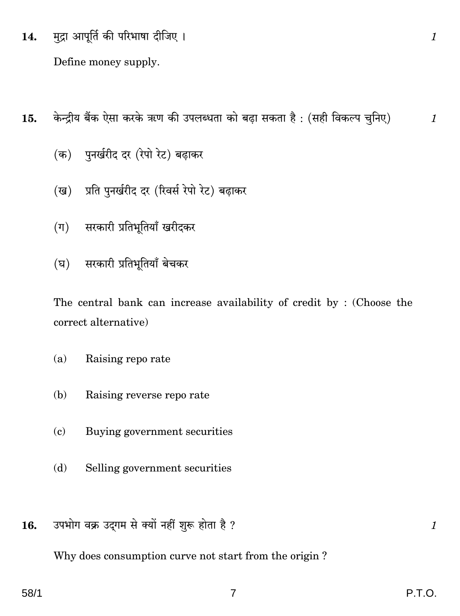मुद्रा आपूर्ति की परिभाषा दीजिए । 14.

Define money supply.

- केन्द्रीय बैंक ऐसा करके ऋण की उपलब्धता को बढा सकता है: (सही विकल्प चुनिए)  $15.$ 
	- (क) पुनर्खरीद दर (रेपो रेट) बढाकर
	- प्रति पुनर्खरीद दर (रिवर्स रेपो रेट) बढ़ाकर (ख)
	- सरकारी प्रतिभूतियाँ खरीदकर  $(\Pi)$
	- (घ) सरकारी प्रतिभूतियाँ बेचकर

The central bank can increase availability of credit by: (Choose the correct alternative)

- $(a)$ Raising reporate
- Raising reverse repo rate (b)
- $(c)$ Buying government securities
- Selling government securities (d)
- उपभोग वक्र उद्गम से क्यों नहीं शुरू होता है ? 16.

Why does consumption curve not start from the origin?

 $\boldsymbol{\mathit{1}}$ 

 $\mathbf{1}$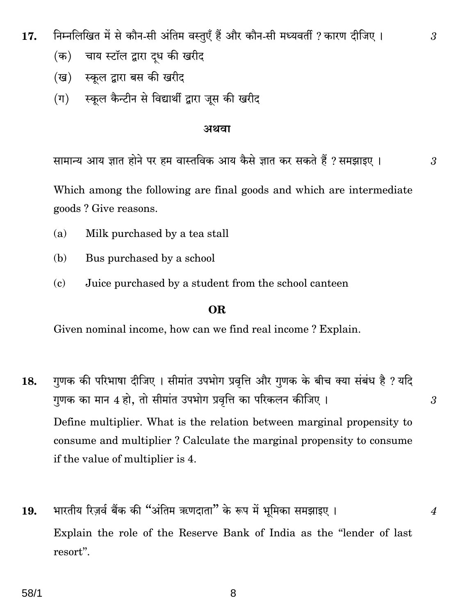- निम्नलिखित में से कौन-सी अंतिम वस्तुएँ हैं और कौन-सी मध्यवर्ती ? कारण दीजिए । 17.
	- चाय स्टॉल द्वारा दुध की खरीद (क)
	- (ख) स्कूल द्वारा बस की खरीद
	- स्कुल कैन्टीन से विद्यार्थी द्वारा जुस की खरीद  $(\Pi)$

#### अथवा

सामान्य आय ज्ञात होने पर हम वास्तविक आय कैसे ज्ञात कर सकते हैं ? समझाइए ।

3

3

 $\boldsymbol{\beta}$ 

 $\overline{4}$ 

Which among the following are final goods and which are intermediate goods? Give reasons.

- $(a)$ Milk purchased by a tea stall
- Bus purchased by a school (b)
- $(c)$ Juice purchased by a student from the school canteen

#### OR.

Given nominal income, how can we find real income? Explain.

- गुणक की परिभाषा दीजिए । सीमांत उपभोग प्रवृत्ति और गुणक के बीच क्या संबंध है ? यदि 18. गुणक का मान 4 हो, तो सीमांत उपभोग प्रवृत्ति का परिकलन कीजिए । Define multiplier. What is the relation between marginal propensity to consume and multiplier? Calculate the marginal propensity to consume if the value of multiplier is 4.
- भारतीय रिज़र्व बैंक की "अंतिम ऋणदाता" के रूप में भूमिका समझाइए । 19. Explain the role of the Reserve Bank of India as the "lender of last resort".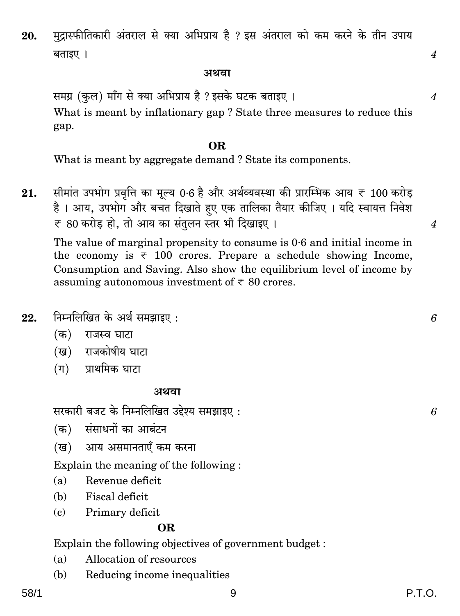58/1

मुद्रास्फीतिकारी अंतराल से क्या अभिप्राय है ? इस अंतराल को कम करने के तीन उपाय 20. बताइए ।

#### अथवा

समग्र (कुल) माँग से क्या अभिप्राय है ? इसके घटक बताइए । What is meant by inflationary gap? State three measures to reduce this gap.

### OR.

What is meant by aggregate demand? State its components.

सीमांत उपभोग प्रवत्ति का मुल्य 0.6 है और अर्थव्यवस्था की प्रारम्भिक आय ₹ 100 करोड  $21.$ है। आय, उपभोग और बचत दिखाते हुए एक तालिका तैयार कीजिए। यदि स्वायत्त निवेश ₹ 80 करोड हो, तो आय का संतुलन स्तर भी दिखाइए।

The value of marginal propensity to consume is 0.6 and initial income in the economy is  $\overline{\tau}$  100 crores. Prepare a schedule showing Income, Consumption and Saving. Also show the equilibrium level of income by assuming autonomous investment of  $\overline{\epsilon}$  80 crores.

निम्नलिखित के अर्थ समझाइए: 22.

- (क) राजस्व घाटा
- (ख) राजकोषीय घाटा
- (ग) प्राथमिक घाटा

#### अथवा

सरकारी बजट के निम्नलिखित उद्देश्य समझाइए:

(क) संसाधनों का आबंटन

आय असमानताएँ कम करना (ख)

Explain the meaning of the following:

- Revenue deficit  $(a)$
- $(b)$ Fiscal deficit.
- Primary deficit  $(c)$

# OR.

Explain the following objectives of government budget:

- Allocation of resources  $(a)$
- Reducing income inequalities (b)

 $\boldsymbol{4}$ 

 $\overline{4}$ 

6

 $\boldsymbol{\varLambda}$ 

6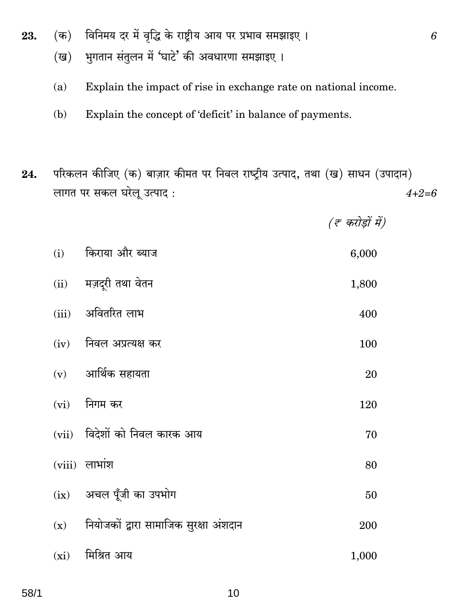- विनिमय दर में वृद्धि के राष्ट्रीय आय पर प्रभाव समझाइए।  $(\overline{a})$ 23.
	- भुगतान संतुलन में 'घाटे' की अवधारणा समझाइए ।  $(\overline{u})$
	- $(a)$ Explain the impact of rise in exchange rate on national income.
	- $(b)$ Explain the concept of 'deficit' in balance of payments.
- परिकलन कीजिए (क) बाज़ार कीमत पर निवल राष्ट्रीय उत्पाद, तथा (ख) साधन (उपादान) 24. लागत पर सकल घरेलू उत्पाद:  $4 + 2 = 6$

 $(\bar{\tau}$  करोड़ों में)

| (i)  | किराया और ब्याज                              | 6,000 |
|------|----------------------------------------------|-------|
|      | (ii) मज़दूरी तथा वेतन                        | 1,800 |
|      | (iii) अवितरित लाभ                            | 400   |
|      | (iv) निवल अप्रत्यक्ष कर                      | 100   |
|      | $(v)$ आर्थिक सहायता                          | 20    |
|      | $(vi)$ निगम कर                               | 120   |
|      | (vii) विदेशों को निवल कारक आय                | 70    |
|      | $(viii)$ लाभांश                              | 80    |
|      | (ix) अचल पूँजी का उपभोग                      | 50    |
|      | $(x)$ नियोजकों द्वारा सामाजिक सुरक्षा अंशदान | 200   |
| (xi) | मिश्रित आय                                   | 1,000 |